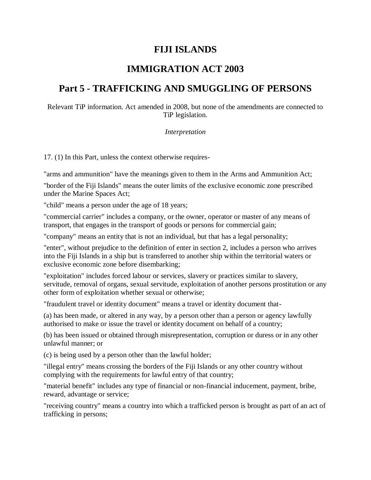# **FIJI ISLANDS**

# **IMMIGRATION ACT 2003**

# **Part 5 - TRAFFICKING AND SMUGGLING OF PERSONS**

Relevant TiP information. Act amended in 2008, but none of the amendments are connected to TiP legislation.

### *Interpretation*

17. (1) In this Part, unless the context otherwise requires-

"arms and ammunition" have the meanings given to them in the Arms and Ammunition Act;

"border of the Fiji Islands" means the outer limits of the exclusive economic zone prescribed under the Marine Spaces Act;

"child" means a person under the age of 18 years;

"commercial carrier" includes a company, or the owner, operator or master of any means of transport, that engages in the transport of goods or persons for commercial gain;

"company" means an entity that is not an individual, but that has a legal personality;

"enter", without prejudice to the definition of enter in section 2, includes a person who arrives into the Fiji Islands in a ship but is transferred to another ship within the territorial waters or exclusive economic zone before disembarking;

"exploitation" includes forced labour or services, slavery or practices similar to slavery, servitude, removal of organs, sexual servitude, exploitation of another persons prostitution or any other form of exploitation whether sexual or otherwise;

"fraudulent travel or identity document" means a travel or identity document that-

(a) has been made, or altered in any way, by a person other than a person or agency lawfully authorised to make or issue the travel or identity document on behalf of a country;

(b) has been issued or obtained through misrepresentation, corruption or duress or in any other unlawful manner; or

(c) is being used by a person other than the lawful holder;

"illegal entry" means crossing the borders of the Fiji Islands or any other country without complying with the requirements for lawful entry of that country;

"material benefit" includes any type of financial or non-financial inducement, payment, bribe, reward, advantage or service;

"receiving country" means a country into which a trafficked person is brought as part of an act of trafficking in persons;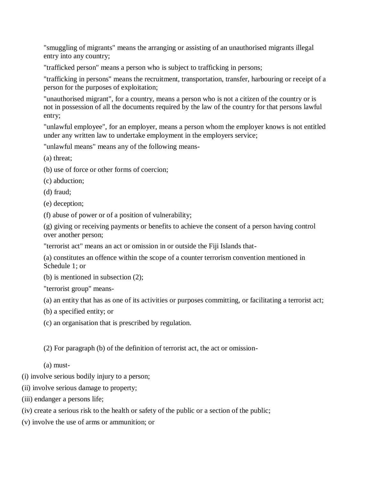"smuggling of migrants" means the arranging or assisting of an unauthorised migrants illegal entry into any country;

"trafficked person" means a person who is subject to trafficking in persons;

"trafficking in persons" means the recruitment, transportation, transfer, harbouring or receipt of a person for the purposes of exploitation;

"unauthorised migrant", for a country, means a person who is not a citizen of the country or is not in possession of all the documents required by the law of the country for that persons lawful entry;

"unlawful employee", for an employer, means a person whom the employer knows is not entitled under any written law to undertake employment in the employers service;

"unlawful means" means any of the following means-

(a) threat;

- (b) use of force or other forms of coercion;
- (c) abduction;
- (d) fraud;
- (e) deception;
- (f) abuse of power or of a position of vulnerability;

(g) giving or receiving payments or benefits to achieve the consent of a person having control over another person;

"terrorist act" means an act or omission in or outside the Fiji Islands that-

(a) constitutes an offence within the scope of a counter terrorism convention mentioned in Schedule 1; or

(b) is mentioned in subsection (2);

"terrorist group" means-

- (a) an entity that has as one of its activities or purposes committing, or facilitating a terrorist act;
- (b) a specified entity; or
- (c) an organisation that is prescribed by regulation.
- (2) For paragraph (b) of the definition of terrorist act, the act or omission-

(a) must-

- (i) involve serious bodily injury to a person;
- (ii) involve serious damage to property;
- (iii) endanger a persons life;
- (iv) create a serious risk to the health or safety of the public or a section of the public;
- (v) involve the use of arms or ammunition; or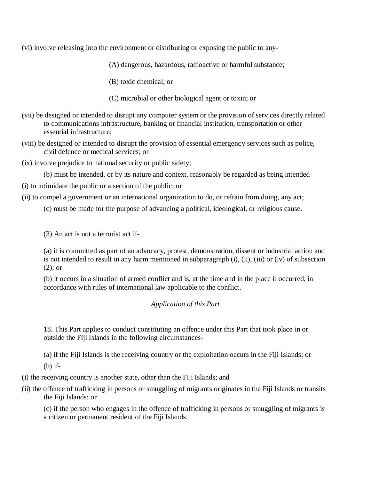(vi) involve releasing into the environment or distributing or exposing the public to any-

(A) dangerous, hazardous, radioactive or harmful substance;

(B) toxic chemical; or

(C) microbial or other biological agent or toxin; or

- (vii) be designed or intended to disrupt any computer system or the provision of services directly related to communications infrastructure, banking or financial institution, transportation or other essential infrastructure;
- (viii) be designed or intended to disrupt the provision of essential emergency services such as police, civil defence or medical services; or

(ix) involve prejudice to national security or public safety;

(b) must be intended, or by its nature and context, reasonably be regarded as being intended-

(i) to intimidate the public or a section of the public; or

(ii) to compel a government or an international organization to do, or refrain from doing, any act;

(c) must be made for the purpose of advancing a political, ideological, or religious cause.

(3) An act is not a terrorist act if-

(a) it is committed as part of an advocacy, protest, demonstration, dissent or industrial action and is not intended to result in any harm mentioned in subparagraph (i), (ii), (iii) or (iv) of subsection (2); or

(b) it occurs in a situation of armed conflict and is, at the time and in the place it occurred, in accordance with rules of international law applicable to the conflict.

## *Application of this Part*

18. This Part applies to conduct constituting an offence under this Part that took place in or outside the Fiji Islands in the following circumstances-

(a) if the Fiji Islands is the receiving country or the exploitation occurs in the Fiji Islands; or

(b) if-

(i) the receiving country is another state, other than the Fiji Islands; and

(ii) the offence of trafficking in persons or smuggling of migrants originates in the Fiji Islands or transits the Fiji Islands; or

(c) if the person who engages in the offence of trafficking in persons or smuggling of migrants is a citizen or permanent resident of the Fiji Islands.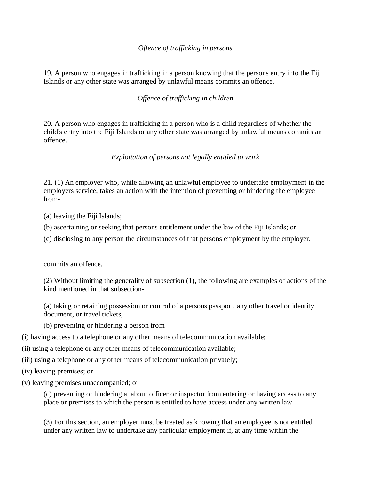## *Offence of trafficking in persons*

19. A person who engages in trafficking in a person knowing that the persons entry into the Fiji Islands or any other state was arranged by unlawful means commits an offence.

## *Offence of trafficking in children*

20. A person who engages in trafficking in a person who is a child regardless of whether the child's entry into the Fiji Islands or any other state was arranged by unlawful means commits an offence.

### *Exploitation of persons not legally entitled to work*

21. (1) An employer who, while allowing an unlawful employee to undertake employment in the employers service, takes an action with the intention of preventing or hindering the employee from-

(a) leaving the Fiji Islands;

- (b) ascertaining or seeking that persons entitlement under the law of the Fiji Islands; or
- (c) disclosing to any person the circumstances of that persons employment by the employer,

commits an offence.

(2) Without limiting the generality of subsection (1), the following are examples of actions of the kind mentioned in that subsection-

(a) taking or retaining possession or control of a persons passport, any other travel or identity document, or travel tickets;

(b) preventing or hindering a person from

(i) having access to a telephone or any other means of telecommunication available;

- (ii) using a telephone or any other means of telecommunication available;
- (iii) using a telephone or any other means of telecommunication privately;
- (iv) leaving premises; or
- (v) leaving premises unaccompanied; or

(c) preventing or hindering a labour officer or inspector from entering or having access to any place or premises to which the person is entitled to have access under any written law.

(3) For this section, an employer must be treated as knowing that an employee is not entitled under any written law to undertake any particular employment if, at any time within the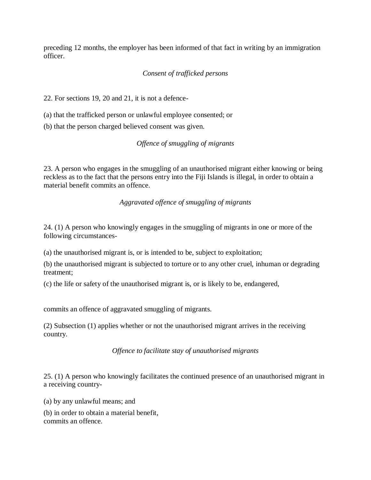preceding 12 months, the employer has been informed of that fact in writing by an immigration officer.

# *Consent of trafficked persons*

22. For sections 19, 20 and 21, it is not a defence-

(a) that the trafficked person or unlawful employee consented; or

(b) that the person charged believed consent was given.

### *Offence of smuggling of migrants*

23. A person who engages in the smuggling of an unauthorised migrant either knowing or being reckless as to the fact that the persons entry into the Fiji Islands is illegal, in order to obtain a material benefit commits an offence.

*Aggravated offence of smuggling of migrants*

24. (1) A person who knowingly engages in the smuggling of migrants in one or more of the following circumstances-

(a) the unauthorised migrant is, or is intended to be, subject to exploitation;

(b) the unauthorised migrant is subjected to torture or to any other cruel, inhuman or degrading treatment;

(c) the life or safety of the unauthorised migrant is, or is likely to be, endangered,

commits an offence of aggravated smuggling of migrants.

(2) Subsection (1) applies whether or not the unauthorised migrant arrives in the receiving country.

*Offence to facilitate stay of unauthorised migrants*

25. (1) A person who knowingly facilitates the continued presence of an unauthorised migrant in a receiving country-

(a) by any unlawful means; and

(b) in order to obtain a material benefit, commits an offence.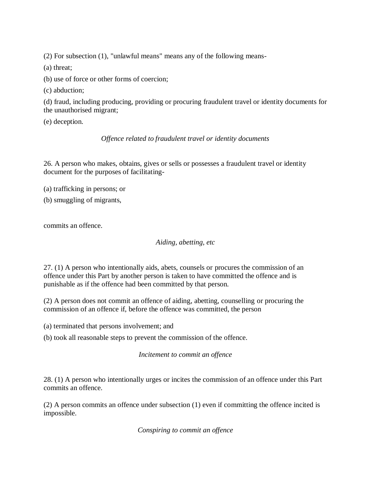(2) For subsection (1), "unlawful means" means any of the following means-

(a) threat;

(b) use of force or other forms of coercion;

(c) abduction;

(d) fraud, including producing, providing or procuring fraudulent travel or identity documents for the unauthorised migrant;

(e) deception.

## *Offence related to fraudulent travel or identity documents*

26. A person who makes, obtains, gives or sells or possesses a fraudulent travel or identity document for the purposes of facilitating-

- (a) trafficking in persons; or
- (b) smuggling of migrants,

commits an offence.

*Aiding, abetting, etc*

27. (1) A person who intentionally aids, abets, counsels or procures the commission of an offence under this Part by another person is taken to have committed the offence and is punishable as if the offence had been committed by that person.

(2) A person does not commit an offence of aiding, abetting, counselling or procuring the commission of an offence if, before the offence was committed, the person

(a) terminated that persons involvement; and

(b) took all reasonable steps to prevent the commission of the offence.

*Incitement to commit an offence*

28. (1) A person who intentionally urges or incites the commission of an offence under this Part commits an offence.

(2) A person commits an offence under subsection (1) even if committing the offence incited is impossible.

*Conspiring to commit an offence*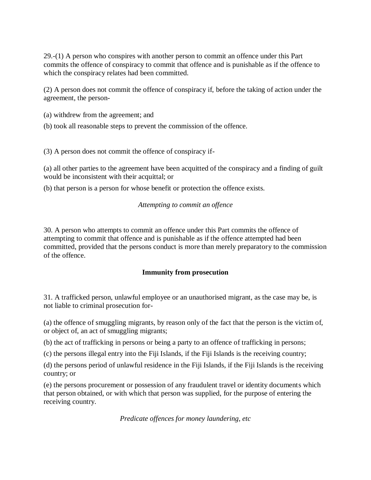29.-(1) A person who conspires with another person to commit an offence under this Part commits the offence of conspiracy to commit that offence and is punishable as if the offence to which the conspiracy relates had been committed.

(2) A person does not commit the offence of conspiracy if, before the taking of action under the agreement, the person-

(a) withdrew from the agreement; and

(b) took all reasonable steps to prevent the commission of the offence.

(3) A person does not commit the offence of conspiracy if-

(a) all other parties to the agreement have been acquitted of the conspiracy and a finding of guilt would be inconsistent with their acquittal; or

(b) that person is a person for whose benefit or protection the offence exists.

### *Attempting to commit an offence*

30. A person who attempts to commit an offence under this Part commits the offence of attempting to commit that offence and is punishable as if the offence attempted had been committed, provided that the persons conduct is more than merely preparatory to the commission of the offence.

### **Immunity from prosecution**

31. A trafficked person, unlawful employee or an unauthorised migrant, as the case may be, is not liable to criminal prosecution for-

(a) the offence of smuggling migrants, by reason only of the fact that the person is the victim of, or object of, an act of smuggling migrants;

(b) the act of trafficking in persons or being a party to an offence of trafficking in persons;

(c) the persons illegal entry into the Fiji Islands, if the Fiji Islands is the receiving country;

(d) the persons period of unlawful residence in the Fiji Islands, if the Fiji Islands is the receiving country; or

(e) the persons procurement or possession of any fraudulent travel or identity documents which that person obtained, or with which that person was supplied, for the purpose of entering the receiving country.

*Predicate offences for money laundering, etc*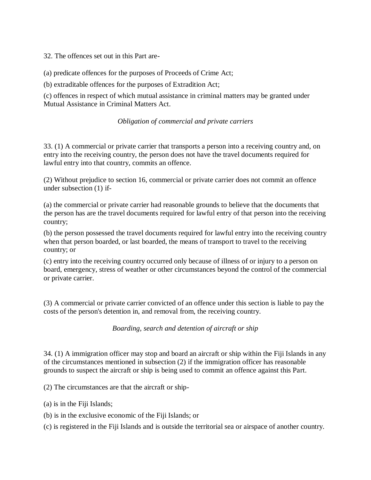32. The offences set out in this Part are-

(a) predicate offences for the purposes of Proceeds of Crime Act;

(b) extraditable offences for the purposes of Extradition Act;

(c) offences in respect of which mutual assistance in criminal matters may be granted under Mutual Assistance in Criminal Matters Act.

### *Obligation of commercial and private carriers*

33. (1) A commercial or private carrier that transports a person into a receiving country and, on entry into the receiving country, the person does not have the travel documents required for lawful entry into that country, commits an offence.

(2) Without prejudice to section 16, commercial or private carrier does not commit an offence under subsection (1) if-

(a) the commercial or private carrier had reasonable grounds to believe that the documents that the person has are the travel documents required for lawful entry of that person into the receiving country;

(b) the person possessed the travel documents required for lawful entry into the receiving country when that person boarded, or last boarded, the means of transport to travel to the receiving country; or

(c) entry into the receiving country occurred only because of illness of or injury to a person on board, emergency, stress of weather or other circumstances beyond the control of the commercial or private carrier.

(3) A commercial or private carrier convicted of an offence under this section is liable to pay the costs of the person's detention in, and removal from, the receiving country.

*Boarding, search and detention of aircraft or ship*

34. (1) A immigration officer may stop and board an aircraft or ship within the Fiji Islands in any of the circumstances mentioned in subsection (2) if the immigration officer has reasonable grounds to suspect the aircraft or ship is being used to commit an offence against this Part.

(2) The circumstances are that the aircraft or ship-

- (a) is in the Fiji Islands;
- (b) is in the exclusive economic of the Fiji Islands; or

(c) is registered in the Fiji Islands and is outside the territorial sea or airspace of another country.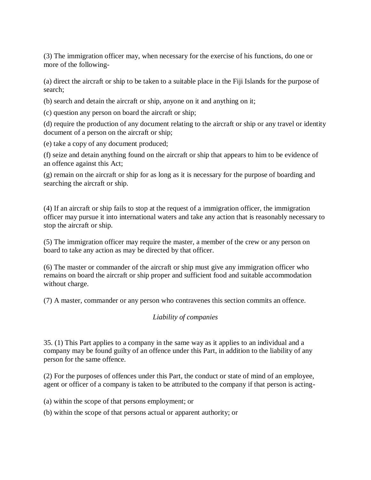(3) The immigration officer may, when necessary for the exercise of his functions, do one or more of the following-

(a) direct the aircraft or ship to be taken to a suitable place in the Fiji Islands for the purpose of search;

(b) search and detain the aircraft or ship, anyone on it and anything on it;

(c) question any person on board the aircraft or ship;

(d) require the production of any document relating to the aircraft or ship or any travel or identity document of a person on the aircraft or ship;

(e) take a copy of any document produced;

(f) seize and detain anything found on the aircraft or ship that appears to him to be evidence of an offence against this Act;

(g) remain on the aircraft or ship for as long as it is necessary for the purpose of boarding and searching the aircraft or ship.

(4) If an aircraft or ship fails to stop at the request of a immigration officer, the immigration officer may pursue it into international waters and take any action that is reasonably necessary to stop the aircraft or ship.

(5) The immigration officer may require the master, a member of the crew or any person on board to take any action as may be directed by that officer.

(6) The master or commander of the aircraft or ship must give any immigration officer who remains on board the aircraft or ship proper and sufficient food and suitable accommodation without charge.

(7) A master, commander or any person who contravenes this section commits an offence.

### *Liability of companies*

35. (1) This Part applies to a company in the same way as it applies to an individual and a company may be found guilty of an offence under this Part, in addition to the liability of any person for the same offence.

(2) For the purposes of offences under this Part, the conduct or state of mind of an employee, agent or officer of a company is taken to be attributed to the company if that person is acting-

(a) within the scope of that persons employment; or

(b) within the scope of that persons actual or apparent authority; or